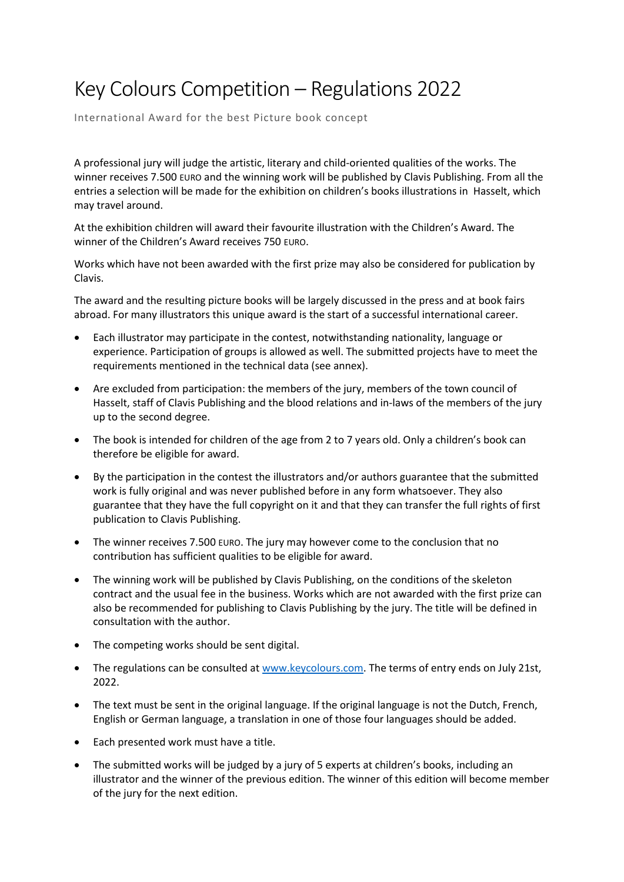## Key Colours Competition – Regulations 2022

International Award for the best Picture book concept

A professional jury will judge the artistic, literary and child-oriented qualities of the works. The winner receives 7.500 EURO and the winning work will be published by Clavis Publishing. From all the entries a selection will be made for the exhibition on children's books illustrations in Hasselt, which may travel around.

At the exhibition children will award their favourite illustration with the Children's Award. The winner of the Children's Award receives 750 EURO.

Works which have not been awarded with the first prize may also be considered for publication by Clavis.

The award and the resulting picture books will be largely discussed in the press and at book fairs abroad. For many illustrators this unique award is the start of a successful international career.

- Each illustrator may participate in the contest, notwithstanding nationality, language or experience. Participation of groups is allowed as well. The submitted projects have to meet the requirements mentioned in the technical data (see annex).
- Are excluded from participation: the members of the jury, members of the town council of Hasselt, staff of Clavis Publishing and the blood relations and in-laws of the members of the jury up to the second degree.
- The book is intended for children of the age from 2 to 7 years old. Only a children's book can therefore be eligible for award.
- By the participation in the contest the illustrators and/or authors guarantee that the submitted work is fully original and was never published before in any form whatsoever. They also guarantee that they have the full copyright on it and that they can transfer the full rights of first publication to Clavis Publishing.
- The winner receives 7.500 EURO. The jury may however come to the conclusion that no contribution has sufficient qualities to be eligible for award.
- The winning work will be published by Clavis Publishing, on the conditions of the skeleton contract and the usual fee in the business. Works which are not awarded with the first prize can also be recommended for publishing to Clavis Publishing by the jury. The title will be defined in consultation with the author.
- The competing works should be sent digital.
- The regulations can be consulted at [www.keycolours.com.](http://www.keycolours.com/) The terms of entry ends on July 21st, 2022.
- The text must be sent in the original language. If the original language is not the Dutch, French, English or German language, a translation in one of those four languages should be added.
- Each presented work must have a title.
- The submitted works will be judged by a jury of 5 experts at children's books, including an illustrator and the winner of the previous edition. The winner of this edition will become member of the jury for the next edition.